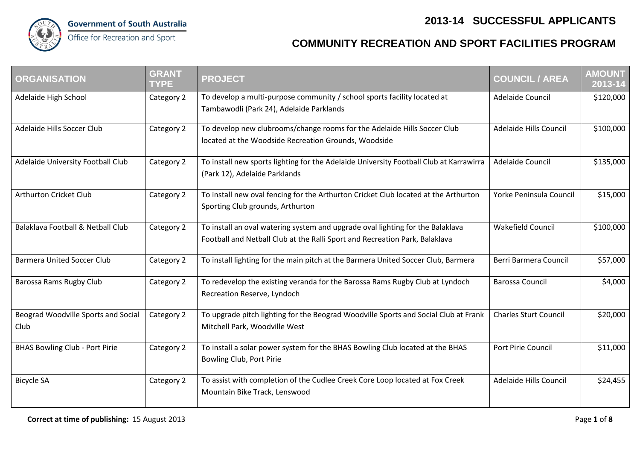## **2013-14 SUCCESSFUL APPLICANTS**



## Office for Recreation and Sport

## **COMMUNITY RECREATION AND SPORT FACILITIES PROGRAM**

| <b>ORGANISATION</b>                         | <b>GRANT</b><br><b>TYPE</b> | <b>PROJECT</b>                                                                                                                                                | <b>COUNCIL / AREA</b>        | <b>AMOUNT</b><br>2013-14 |
|---------------------------------------------|-----------------------------|---------------------------------------------------------------------------------------------------------------------------------------------------------------|------------------------------|--------------------------|
| Adelaide High School                        | Category 2                  | To develop a multi-purpose community / school sports facility located at<br>Tambawodli (Park 24), Adelaide Parklands                                          | Adelaide Council             | \$120,000                |
| Adelaide Hills Soccer Club                  | Category 2                  | To develop new clubrooms/change rooms for the Adelaide Hills Soccer Club<br>located at the Woodside Recreation Grounds, Woodside                              | Adelaide Hills Council       | \$100,000                |
| Adelaide University Football Club           | Category 2                  | To install new sports lighting for the Adelaide University Football Club at Karrawirra<br>(Park 12), Adelaide Parklands                                       | Adelaide Council             | \$135,000                |
| Arthurton Cricket Club                      | Category 2                  | To install new oval fencing for the Arthurton Cricket Club located at the Arthurton<br>Sporting Club grounds, Arthurton                                       | Yorke Peninsula Council      | \$15,000                 |
| Balaklava Football & Netball Club           | Category 2                  | To install an oval watering system and upgrade oval lighting for the Balaklava<br>Football and Netball Club at the Ralli Sport and Recreation Park, Balaklava | Wakefield Council            | \$100,000                |
| <b>Barmera United Soccer Club</b>           | Category 2                  | To install lighting for the main pitch at the Barmera United Soccer Club, Barmera                                                                             | Berri Barmera Council        | \$57,000                 |
| Barossa Rams Rugby Club                     | Category 2                  | To redevelop the existing veranda for the Barossa Rams Rugby Club at Lyndoch<br>Recreation Reserve, Lyndoch                                                   | <b>Barossa Council</b>       | \$4,000                  |
| Beograd Woodville Sports and Social<br>Club | Category 2                  | To upgrade pitch lighting for the Beograd Woodville Sports and Social Club at Frank<br>Mitchell Park, Woodville West                                          | <b>Charles Sturt Council</b> | \$20,000                 |
| <b>BHAS Bowling Club - Port Pirie</b>       | Category 2                  | To install a solar power system for the BHAS Bowling Club located at the BHAS<br>Bowling Club, Port Pirie                                                     | Port Pirie Council           | \$11,000                 |
| <b>Bicycle SA</b>                           | Category 2                  | To assist with completion of the Cudlee Creek Core Loop located at Fox Creek<br>Mountain Bike Track, Lenswood                                                 | Adelaide Hills Council       | \$24,455                 |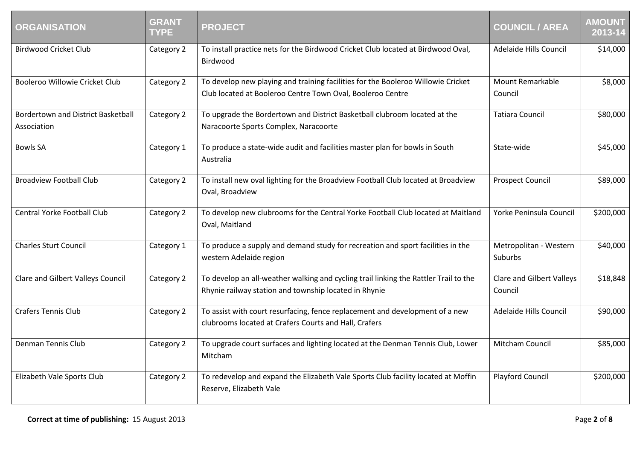| <b>ORGANISATION</b>                                      | <b>GRANT</b><br><b>TYPE</b> | <b>PROJECT</b>                                                                                                                                 | <b>COUNCIL / AREA</b>                | <b>AMOUNT</b><br>2013-14 |
|----------------------------------------------------------|-----------------------------|------------------------------------------------------------------------------------------------------------------------------------------------|--------------------------------------|--------------------------|
| <b>Birdwood Cricket Club</b>                             | Category 2                  | To install practice nets for the Birdwood Cricket Club located at Birdwood Oval,<br>Birdwood                                                   | Adelaide Hills Council               | \$14,000                 |
| Booleroo Willowie Cricket Club                           | Category 2                  | To develop new playing and training facilities for the Booleroo Willowie Cricket<br>Club located at Booleroo Centre Town Oval, Booleroo Centre | Mount Remarkable<br>Council          | \$8,000                  |
| <b>Bordertown and District Basketball</b><br>Association | Category 2                  | To upgrade the Bordertown and District Basketball clubroom located at the<br>Naracoorte Sports Complex, Naracoorte                             | <b>Tatiara Council</b>               | \$80,000                 |
| <b>Bowls SA</b>                                          | Category 1                  | To produce a state-wide audit and facilities master plan for bowls in South<br>Australia                                                       | State-wide                           | \$45,000                 |
| <b>Broadview Football Club</b>                           | Category 2                  | To install new oval lighting for the Broadview Football Club located at Broadview<br>Oval, Broadview                                           | <b>Prospect Council</b>              | \$89,000                 |
| <b>Central Yorke Football Club</b>                       | Category 2                  | To develop new clubrooms for the Central Yorke Football Club located at Maitland<br>Oval, Maitland                                             | Yorke Peninsula Council              | \$200,000                |
| <b>Charles Sturt Council</b>                             | Category 1                  | To produce a supply and demand study for recreation and sport facilities in the<br>western Adelaide region                                     | Metropolitan - Western<br>Suburbs    | \$40,000                 |
| Clare and Gilbert Valleys Council                        | Category 2                  | To develop an all-weather walking and cycling trail linking the Rattler Trail to the<br>Rhynie railway station and township located in Rhynie  | Clare and Gilbert Valleys<br>Council | \$18,848                 |
| <b>Crafers Tennis Club</b>                               | Category 2                  | To assist with court resurfacing, fence replacement and development of a new<br>clubrooms located at Crafers Courts and Hall, Crafers          | Adelaide Hills Council               | \$90,000                 |
| Denman Tennis Club                                       | Category 2                  | To upgrade court surfaces and lighting located at the Denman Tennis Club, Lower<br>Mitcham                                                     | Mitcham Council                      | \$85,000                 |
| Elizabeth Vale Sports Club                               | Category 2                  | To redevelop and expand the Elizabeth Vale Sports Club facility located at Moffin<br>Reserve, Elizabeth Vale                                   | Playford Council                     | \$200,000                |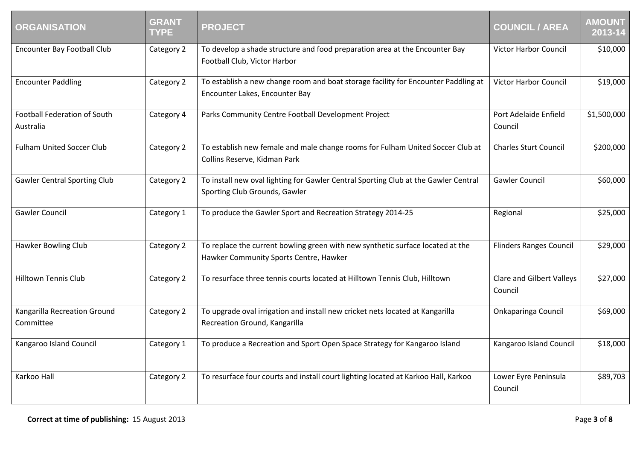| <b>ORGANISATION</b>                       | <b>GRANT</b><br><b>TYPE</b> | <b>PROJECT</b>                                                                                                           | <b>COUNCIL / AREA</b>                | <b>AMOUNT</b><br>2013-14 |
|-------------------------------------------|-----------------------------|--------------------------------------------------------------------------------------------------------------------------|--------------------------------------|--------------------------|
| <b>Encounter Bay Football Club</b>        | Category 2                  | To develop a shade structure and food preparation area at the Encounter Bay<br>Football Club, Victor Harbor              | <b>Victor Harbor Council</b>         | \$10,000                 |
| <b>Encounter Paddling</b>                 | Category 2                  | To establish a new change room and boat storage facility for Encounter Paddling at<br>Encounter Lakes, Encounter Bay     | Victor Harbor Council                | \$19,000                 |
| Football Federation of South<br>Australia | Category 4                  | Parks Community Centre Football Development Project                                                                      | Port Adelaide Enfield<br>Council     | \$1,500,000              |
| <b>Fulham United Soccer Club</b>          | Category 2                  | To establish new female and male change rooms for Fulham United Soccer Club at<br>Collins Reserve, Kidman Park           | <b>Charles Sturt Council</b>         | \$200,000                |
| <b>Gawler Central Sporting Club</b>       | Category 2                  | To install new oval lighting for Gawler Central Sporting Club at the Gawler Central<br>Sporting Club Grounds, Gawler     | <b>Gawler Council</b>                | \$60,000                 |
| <b>Gawler Council</b>                     | Category 1                  | To produce the Gawler Sport and Recreation Strategy 2014-25                                                              | Regional                             | \$25,000                 |
| Hawker Bowling Club                       | Category 2                  | To replace the current bowling green with new synthetic surface located at the<br>Hawker Community Sports Centre, Hawker | <b>Flinders Ranges Council</b>       | \$29,000                 |
| <b>Hilltown Tennis Club</b>               | Category 2                  | To resurface three tennis courts located at Hilltown Tennis Club, Hilltown                                               | Clare and Gilbert Valleys<br>Council | \$27,000                 |
| Kangarilla Recreation Ground<br>Committee | Category 2                  | To upgrade oval irrigation and install new cricket nets located at Kangarilla<br>Recreation Ground, Kangarilla           | <b>Onkaparinga Council</b>           | \$69,000                 |
| Kangaroo Island Council                   | Category 1                  | To produce a Recreation and Sport Open Space Strategy for Kangaroo Island                                                | Kangaroo Island Council              | \$18,000                 |
| Karkoo Hall                               | Category 2                  | To resurface four courts and install court lighting located at Karkoo Hall, Karkoo                                       | Lower Eyre Peninsula<br>Council      | \$89,703                 |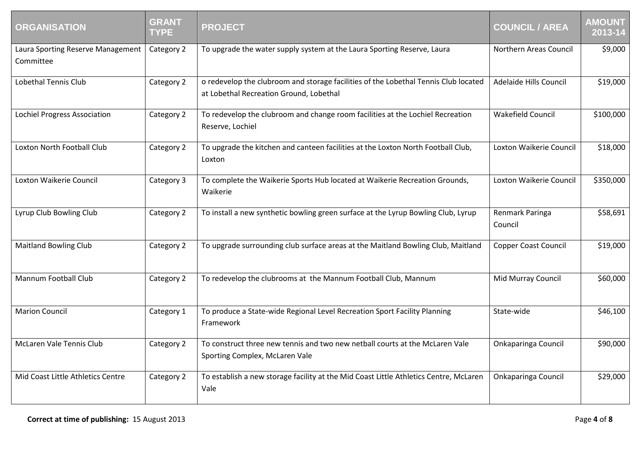| <b>ORGANISATION</b>                            | <b>GRANT</b><br><b>TYPE</b> | <b>PROJECT</b>                                                                                                                 | <b>COUNCIL / AREA</b>       | <b>AMOUNT</b><br>2013-14 |
|------------------------------------------------|-----------------------------|--------------------------------------------------------------------------------------------------------------------------------|-----------------------------|--------------------------|
| Laura Sporting Reserve Management<br>Committee | Category 2                  | To upgrade the water supply system at the Laura Sporting Reserve, Laura                                                        | Northern Areas Council      | \$9,000                  |
| <b>Lobethal Tennis Club</b>                    | Category 2                  | o redevelop the clubroom and storage facilities of the Lobethal Tennis Club located<br>at Lobethal Recreation Ground, Lobethal | Adelaide Hills Council      | \$19,000                 |
| <b>Lochiel Progress Association</b>            | Category 2                  | To redevelop the clubroom and change room facilities at the Lochiel Recreation<br>Reserve, Lochiel                             | <b>Wakefield Council</b>    | \$100,000                |
| Loxton North Football Club                     | Category 2                  | To upgrade the kitchen and canteen facilities at the Loxton North Football Club,<br>Loxton                                     | Loxton Waikerie Council     | \$18,000                 |
| Loxton Waikerie Council                        | Category 3                  | To complete the Waikerie Sports Hub located at Waikerie Recreation Grounds,<br>Waikerie                                        | Loxton Waikerie Council     | \$350,000                |
| Lyrup Club Bowling Club                        | Category 2                  | To install a new synthetic bowling green surface at the Lyrup Bowling Club, Lyrup                                              | Renmark Paringa<br>Council  | \$58,691                 |
| <b>Maitland Bowling Club</b>                   | Category 2                  | To upgrade surrounding club surface areas at the Maitland Bowling Club, Maitland                                               | <b>Copper Coast Council</b> | \$19,000                 |
| Mannum Football Club                           | Category 2                  | To redevelop the clubrooms at the Mannum Football Club, Mannum                                                                 | Mid Murray Council          | \$60,000                 |
| <b>Marion Council</b>                          | Category 1                  | To produce a State-wide Regional Level Recreation Sport Facility Planning<br>Framework                                         | State-wide                  | \$46,100                 |
| McLaren Vale Tennis Club                       | Category 2                  | To construct three new tennis and two new netball courts at the McLaren Vale<br>Sporting Complex, McLaren Vale                 | <b>Onkaparinga Council</b>  | \$90,000                 |
| Mid Coast Little Athletics Centre              | Category 2                  | To establish a new storage facility at the Mid Coast Little Athletics Centre, McLaren<br>Vale                                  | <b>Onkaparinga Council</b>  | \$29,000                 |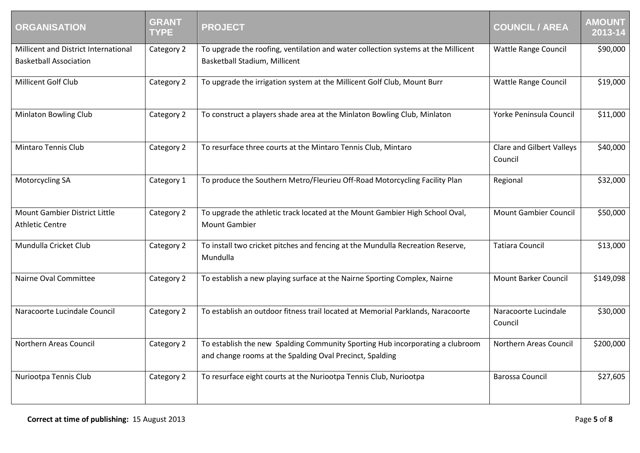| <b>ORGANISATION</b>                                                   | <b>GRANT</b><br><b>TYPE</b> | <b>PROJECT</b>                                                                                                                            | <b>COUNCIL / AREA</b>                | <b>AMOUNT</b><br>$\overline{2013-14}$ |
|-----------------------------------------------------------------------|-----------------------------|-------------------------------------------------------------------------------------------------------------------------------------------|--------------------------------------|---------------------------------------|
| Millicent and District International<br><b>Basketball Association</b> | Category 2                  | To upgrade the roofing, ventilation and water collection systems at the Millicent<br>Basketball Stadium, Millicent                        | Wattle Range Council                 | \$90,000                              |
| Millicent Golf Club                                                   | Category 2                  | To upgrade the irrigation system at the Millicent Golf Club, Mount Burr                                                                   | Wattle Range Council                 | \$19,000                              |
| <b>Minlaton Bowling Club</b>                                          | Category 2                  | To construct a players shade area at the Minlaton Bowling Club, Minlaton                                                                  | Yorke Peninsula Council              | \$11,000                              |
| Mintaro Tennis Club                                                   | Category 2                  | To resurface three courts at the Mintaro Tennis Club, Mintaro                                                                             | Clare and Gilbert Valleys<br>Council | \$40,000                              |
| Motorcycling SA                                                       | Category 1                  | To produce the Southern Metro/Fleurieu Off-Road Motorcycling Facility Plan                                                                | Regional                             | \$32,000                              |
| Mount Gambier District Little<br><b>Athletic Centre</b>               | Category 2                  | To upgrade the athletic track located at the Mount Gambier High School Oval,<br><b>Mount Gambier</b>                                      | <b>Mount Gambier Council</b>         | \$50,000                              |
| Mundulla Cricket Club                                                 | Category 2                  | To install two cricket pitches and fencing at the Mundulla Recreation Reserve,<br>Mundulla                                                | <b>Tatiara Council</b>               | \$13,000                              |
| Nairne Oval Committee                                                 | Category 2                  | To establish a new playing surface at the Nairne Sporting Complex, Nairne                                                                 | <b>Mount Barker Council</b>          | \$149,098                             |
| Naracoorte Lucindale Council                                          | Category 2                  | To establish an outdoor fitness trail located at Memorial Parklands, Naracoorte                                                           | Naracoorte Lucindale<br>Council      | \$30,000                              |
| Northern Areas Council                                                | Category 2                  | To establish the new Spalding Community Sporting Hub incorporating a clubroom<br>and change rooms at the Spalding Oval Precinct, Spalding | Northern Areas Council               | \$200,000                             |
| Nuriootpa Tennis Club                                                 | Category 2                  | To resurface eight courts at the Nuriootpa Tennis Club, Nuriootpa                                                                         | <b>Barossa Council</b>               | \$27,605                              |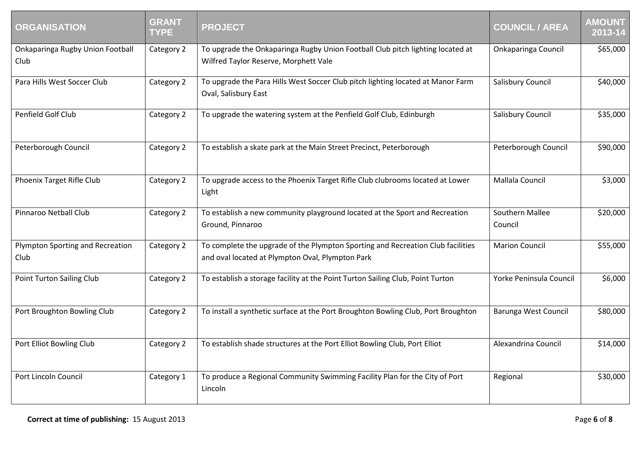| <b>ORGANISATION</b>                      | <b>GRANT</b><br><b>TYPE</b> | <b>PROJECT</b>                                                                                                                      | <b>COUNCIL / AREA</b>      | <b>AMOUNT</b><br>2013-14 |
|------------------------------------------|-----------------------------|-------------------------------------------------------------------------------------------------------------------------------------|----------------------------|--------------------------|
| Onkaparinga Rugby Union Football<br>Club | Category 2                  | To upgrade the Onkaparinga Rugby Union Football Club pitch lighting located at<br>Wilfred Taylor Reserve, Morphett Vale             | Onkaparinga Council        | \$65,000                 |
| Para Hills West Soccer Club              | Category 2                  | To upgrade the Para Hills West Soccer Club pitch lighting located at Manor Farm<br>Oval, Salisbury East                             | Salisbury Council          | \$40,000                 |
| Penfield Golf Club                       | Category 2                  | To upgrade the watering system at the Penfield Golf Club, Edinburgh                                                                 | <b>Salisbury Council</b>   | \$35,000                 |
| Peterborough Council                     | Category 2                  | To establish a skate park at the Main Street Precinct, Peterborough                                                                 | Peterborough Council       | \$90,000                 |
| Phoenix Target Rifle Club                | Category 2                  | To upgrade access to the Phoenix Target Rifle Club clubrooms located at Lower<br>Light                                              | Mallala Council            | \$3,000                  |
| Pinnaroo Netball Club                    | Category 2                  | To establish a new community playground located at the Sport and Recreation<br>Ground, Pinnaroo                                     | Southern Mallee<br>Council | \$20,000                 |
| Plympton Sporting and Recreation<br>Club | Category 2                  | To complete the upgrade of the Plympton Sporting and Recreation Club facilities<br>and oval located at Plympton Oval, Plympton Park | <b>Marion Council</b>      | \$55,000                 |
| Point Turton Sailing Club                | Category 2                  | To establish a storage facility at the Point Turton Sailing Club, Point Turton                                                      | Yorke Peninsula Council    | \$6,000                  |
| Port Broughton Bowling Club              | Category 2                  | To install a synthetic surface at the Port Broughton Bowling Club, Port Broughton                                                   | Barunga West Council       | \$80,000                 |
| Port Elliot Bowling Club                 | Category 2                  | To establish shade structures at the Port Elliot Bowling Club, Port Elliot                                                          | Alexandrina Council        | \$14,000                 |
| Port Lincoln Council                     | Category 1                  | To produce a Regional Community Swimming Facility Plan for the City of Port<br>Lincoln                                              | Regional                   | \$30,000                 |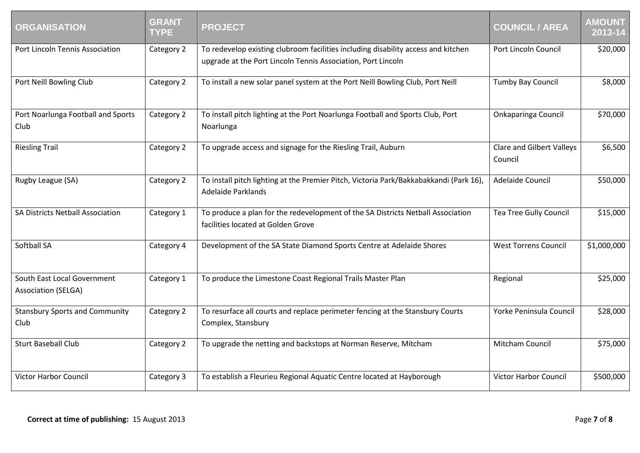| <b>ORGANISATION</b>                                       | <b>GRANT</b><br><b>TYPE</b> | <b>PROJECT</b>                                                                                                                                    | <b>COUNCIL / AREA</b>                | <b>AMOUNT</b><br>2013-14 |
|-----------------------------------------------------------|-----------------------------|---------------------------------------------------------------------------------------------------------------------------------------------------|--------------------------------------|--------------------------|
| Port Lincoln Tennis Association                           | Category 2                  | To redevelop existing clubroom facilities including disability access and kitchen<br>upgrade at the Port Lincoln Tennis Association, Port Lincoln | Port Lincoln Council                 | \$20,000                 |
| Port Neill Bowling Club                                   | Category 2                  | To install a new solar panel system at the Port Neill Bowling Club, Port Neill                                                                    | Tumby Bay Council                    | \$8,000                  |
| Port Noarlunga Football and Sports<br>Club                | Category 2                  | To install pitch lighting at the Port Noarlunga Football and Sports Club, Port<br>Noarlunga                                                       | <b>Onkaparinga Council</b>           | \$70,000                 |
| <b>Riesling Trail</b>                                     | Category 2                  | To upgrade access and signage for the Riesling Trail, Auburn                                                                                      | Clare and Gilbert Valleys<br>Council | \$6,500                  |
| Rugby League (SA)                                         | Category 2                  | To install pitch lighting at the Premier Pitch, Victoria Park/Bakkabakkandi (Park 16),<br>Adelaide Parklands                                      | Adelaide Council                     | \$50,000                 |
| SA Districts Netball Association                          | Category 1                  | To produce a plan for the redevelopment of the SA Districts Netball Association<br>facilities located at Golden Grove                             | <b>Tea Tree Gully Council</b>        | \$15,000                 |
| <b>Softball SA</b>                                        | Category 4                  | Development of the SA State Diamond Sports Centre at Adelaide Shores                                                                              | <b>West Torrens Council</b>          | \$1,000,000              |
| South East Local Government<br><b>Association (SELGA)</b> | Category 1                  | To produce the Limestone Coast Regional Trails Master Plan                                                                                        | Regional                             | \$25,000                 |
| <b>Stansbury Sports and Community</b><br>Club             | Category 2                  | To resurface all courts and replace perimeter fencing at the Stansbury Courts<br>Complex, Stansbury                                               | Yorke Peninsula Council              | \$28,000                 |
| <b>Sturt Baseball Club</b>                                | Category 2                  | To upgrade the netting and backstops at Norman Reserve, Mitcham                                                                                   | Mitcham Council                      | \$75,000                 |
| <b>Victor Harbor Council</b>                              | Category 3                  | To establish a Fleurieu Regional Aquatic Centre located at Hayborough                                                                             | <b>Victor Harbor Council</b>         | \$500,000                |